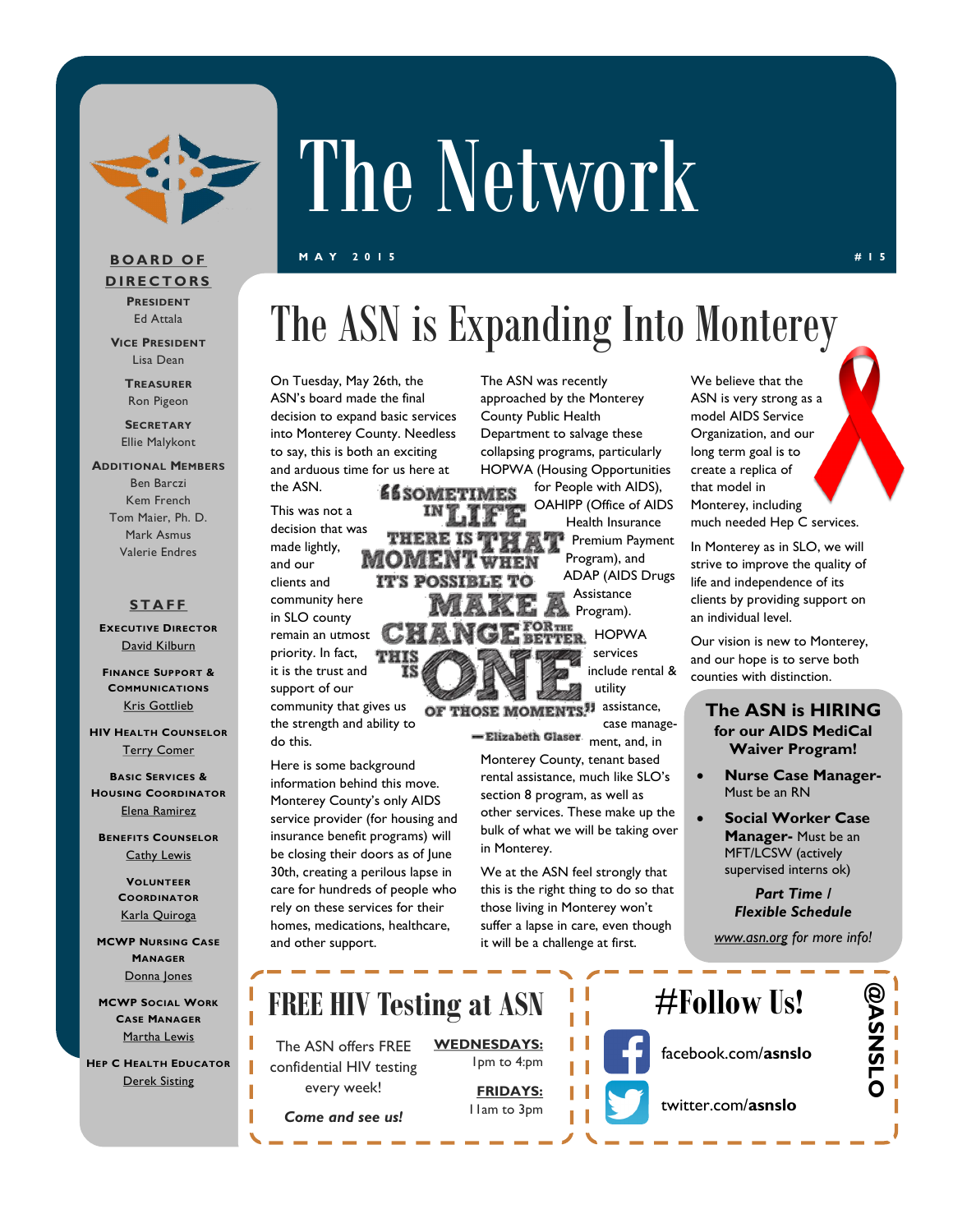

# The Network

**M A Y 2 0 1 5 # 1 5**

#### **B O A R D O F D I R E C T O R S PRESIDENT**

Ed Attala **VICE PRESIDENT**

> Lisa Dean **TREASURER**

Ron Pigeon

**SECRETARY** Ellie Malykont

#### **ADDITIONAL MEMBERS** Ben Barczi Kem French Tom Maier, Ph. D. Mark Asmus

#### **S T A F F**

Valerie Endres

**EXECUTIVE DIRECTOR** [David Kilburn](mailto:dkilburn@asn.org)

**FINANCE SUPPORT & COMMUNICATIONS** [Kris Gottlieb](mailto:kgottlieb@asn.org)

**HIV HEALTH COUNSELOR** [Terry Comer](mailto:TComer@asn.org)

**BASIC SERVICES & HOUSING COORDINATOR** [Elena Ramirez](mailto:eramirez@asn.org)

**BENEFITS COUNSELOR** [Cathy Lewis](mailto:CLewis@slohepc.org)

> **VOLUNTEER COORDINATOR** [Karla Quiroga](mailto:kquiroga@asn.org)

**MCWP NURSING CASE MANAGER** [Donna Jones](mailto:djones@asn.org)

**MCWP SOCIAL WORK CASE MANAGER** [Martha Lewis](mailto:mlewis@asn.org)

**HEP C HEALTH EDUCATOR** [Derek Sisting](mailto:dsisting@asn.org)

### The ASN is Expanding Into Monterey

On Tuesday, May 26th, the ASN's board made the final decision to expand basic services into Monterey County. Needless to say, this is both an exciting and arduous time for us here at

> **éé** sometimes  $INT.1$

**IT'S POSSIBLE TO** 

THERE MOME.

CH

the ASN. This was not a decision that was made lightly, and our clients and community here

in SLO county remain an utmost priority. In fact, it is the trust and support of our

community that gives us the strength and ability to do this.

Here is some background information behind this move. Monterey County's only AIDS service provider (for housing and insurance benefit programs) will be closing their doors as of June 30th, creating a perilous lapse in care for hundreds of people who rely on these services for their homes, medications, healthcare, and other support.

The ASN was recently approached by the Monterey County Public Health Department to salvage these collapsing programs, particularly HOPWA (Housing Opportunities

for People with AIDS), OAHIPP (Office of AIDS Health Insurance Premium Payment Program), and ADAP (AIDS Drugs Assistance **Program**).

FORTHE<br>BETTER HOPWA services include rental &

utility

OF THOSE MOMENTS.<sup>99</sup> assistance, case manage-

-Elizabeth Glaser ment, and, in Monterey County, tenant based rental assistance, much like SLO's section 8 program, as well as other services. These make up the bulk of what we will be taking over in Monterey.

We at the ASN feel strongly that this is the right thing to do so that those living in Monterey won't suffer a lapse in care, even though it will be a challenge at first.

We believe that the ASN is very strong as a model AIDS Service Organization, and our long term goal is to create a replica of that model in Monterey, including much needed Hep C services.

In Monterey as in SLO, we will strive to improve the quality of life and independence of its clients by providing support on an individual level.

Our vision is new to Monterey, and our hope is to serve both counties with distinction.

#### **The ASN is HIRING for our AIDS MediCal Waiver Program!**

- **Nurse Case Manager-**Must be an RN
- **Social Worker Case Manager-** Must be an MFT/LCSW (actively supervised interns ok)

*Part Time / Flexible Schedule*

*[www.asn.org](http://www.ASN.org) for more info!*

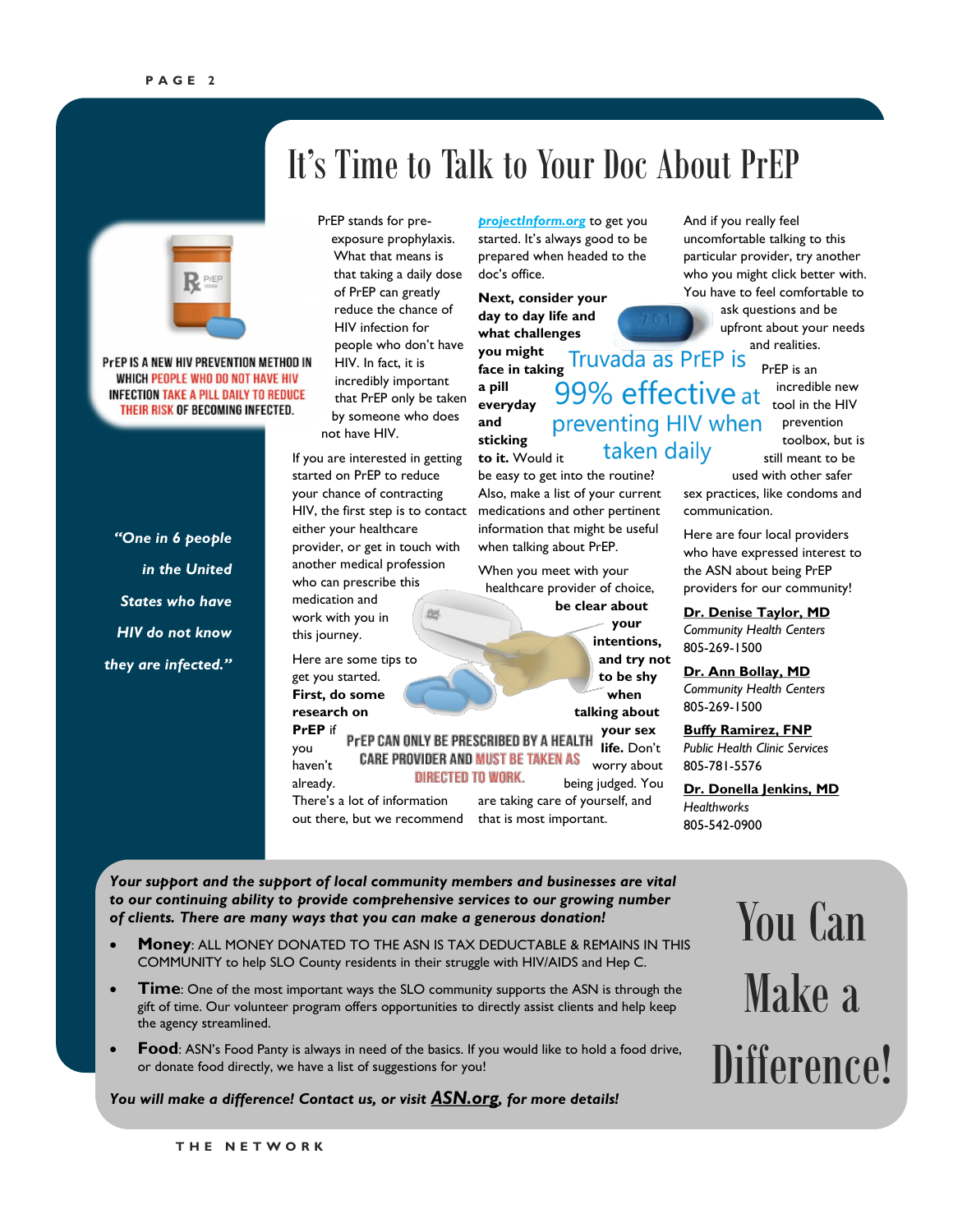

PrEP IS A NEW HIV PREVENTION METHOD IN WHICH PEOPLE WHO DO NOT HAVE HIV **INFECTION TAKE A PILL DAILY TO REDUCE** THEIR RISK OF BECOMING INFECTED.

*"One in 6 people in the United States who have HIV do not know they are infected."*

### It's Time to Talk to Your Doc About PrEP

PrEP stands for preexposure prophylaxis. What that means is that taking a daily dose of PrEP can greatly reduce the chance of HIV infection for people who don't have HIV. In fact, it is incredibly important that PrEP only be taken by someone who does not have HIV.

If you are interested in getting started on PrEP to reduce your chance of contracting HIV, the first step is to contact either your healthcare provider, or get in touch with another medical profession who can prescribe this medication and work with you in 岭 this journey.

Here are some tips to get you started. **First, do some research on** 

**PrEP** if **your sex**  PrEP CAN ONLY BE PRESCRIBED BY A HEALTH **life.** Don't you **CARE PROVIDER AND MUST BE TAKEN AS** haven't **DIRECTED TO WORK.** already. There's a lot of information are taking care of yourself, and out there, but we recommend that is most important.

*[projectInform.org](http://www.projectinform.org/prep/)* to get you started. It's always good to be prepared when headed to the doc's office.

**Next, consider your day to day life and what challenges you might face in taking a pill everyday and sticking**  taken daily **to it.** Would it

be easy to get into the routine? Also, make a list of your current medications and other pertinent information that might be useful when talking about PrEP.

When you meet with your healthcare provider of choice,

**be clear about your intentions, and try not to be shy when talking about** 

worry about being judged. You

And if you really feel uncomfortable talking to this particular provider, try another who you might click better with. You have to feel comfortable to

> ask questions and be upfront about your needs and realities.

> > PrEP is an incredible new tool in the HIV prevention toolbox, but is still meant to be

used with other safer sex practices, like condoms and

Here are four local providers who have expressed interest to the ASN about being PrEP providers for our community!

**Dr. Denise Taylor, MD** *Community Health Centers* 805-269-1500

communication.

**Dr. Ann Bollay, MD** *Community Health Centers* 805-269-1500

**Buffy Ramirez, FNP** *Public Health Clinic Services* 805-781-5576

**Dr. Donella Jenkins, MD** *Healthworks* 805-542-0900

*Your support and the support of local community members and businesses are vital to our continuing ability to provide comprehensive services to our growing number of clients. There are many ways that you can make a generous donation!*

- **Money**: ALL MONEY DONATED TO THE ASN IS TAX DEDUCTABLE & REMAINS IN THIS COMMUNITY to help SLO County residents in their struggle with HIV/AIDS and Hep C.
- **Time**: One of the most important ways the SLO community supports the ASN is through the gift of time. Our volunteer program offers opportunities to directly assist clients and help keep the agency streamlined.
- **Food**: ASN's Food Panty is always in need of the basics. If you would like to hold a food drive, or donate food directly, we have a list of suggestions for you!

*You will make a difference! Contact us, or visit [ASN.org](http://www.asn.org/), for more details!*

You Can Make a Difference!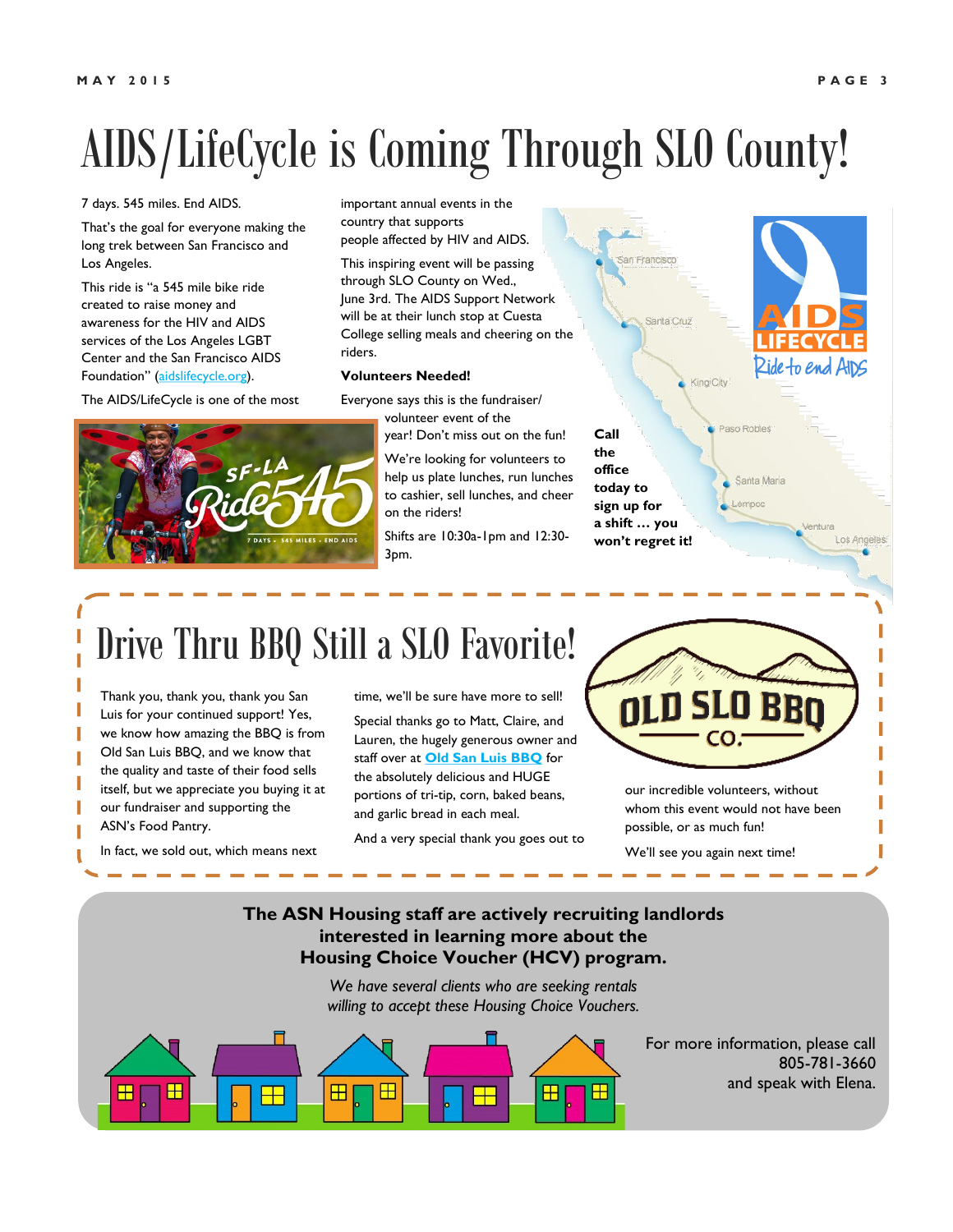## AIDS/LifeCycle is Coming Through SLO County!

#### 7 days. 545 miles. End AIDS.

That's the goal for everyone making the long trek between San Francisco and Los Angeles.

This ride is "a 545 mile bike ride created to raise money and awareness for the HIV and AIDS services of the Los Angeles LGBT Center and the San Francisco AIDS Foundation" ([aidslifecycle.org\).](http://www.aidslifecycle.org)

The AIDS/LifeCycle is one of the most

important annual events in the country that supports people affected by HIV and AIDS.

This inspiring event will be passing through SLO County on Wed., June 3rd. The AIDS Support Network will be at their lunch stop at Cuesta College selling meals and cheering on the riders.

#### **Volunteers Needed!**

Everyone says this is the fundraiser/ volunteer event of the

year! Don't miss out on the fun!

**Call the office** 

We're looking for volunteers to help us plate lunches, run lunches to cashier, sell lunches, and cheer on the riders!

Shifts are 10:30a-1pm and 12:30- 3pm.



### Drive Thru BBQ Still a SLO Favorite!

Thank you, thank you, thank you San Luis for your continued support! Yes, we know how amazing the BBQ is from Old San Luis BBQ, and we know that the quality and taste of their food sells itself, but we appreciate you buying it at our fundraiser and supporting the ASN's Food Pantry.

In fact, we sold out, which means next

time, we'll be sure have more to sell! Special thanks go to Matt, Claire, and Lauren, the hugely generous owner and staff over at **[Old San Luis BBQ](http://oldsanluisbbq.com/)** for the absolutely delicious and HUGE portions of tri-tip, corn, baked beans, and garlic bread in each meal.

And a very special thank you goes out to

CO.

our incredible volunteers, without whom this event would not have been possible, or as much fun!

We'll see you again next time!

#### **The ASN Housing staff are actively recruiting landlords interested in learning more about the Housing Choice Voucher (HCV) program.**

*We have several clients who are seeking rentals willing to accept these Housing Choice Vouchers.* 

> For more information, please call 805-781-3660 and speak with Elena.